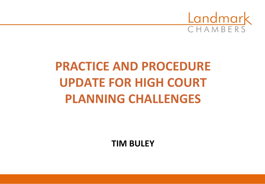

## **PRACTICE AND PROCEDURE UPDATE FOR HIGH COURT PLANNING CHALLENGES**

**TIM BULEY**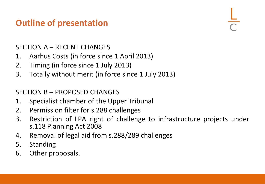#### **Outline of presentation**

#### SECTION A – RECENT CHANGES

- 1. Aarhus Costs (in force since 1 April 2013)
- 2. Timing (in force since 1 July 2013)
- 3. Totally without merit (in force since 1 July 2013)

#### SECTION B – PROPOSED CHANGES

- 1. Specialist chamber of the Upper Tribunal
- 2. Permission filter for s.288 challenges
- 3. Restriction of LPA right of challenge to infrastructure projects under s.118 Planning Act 2008
- 4. Removal of legal aid from s.288/289 challenges
- 5. Standing
- 6. Other proposals.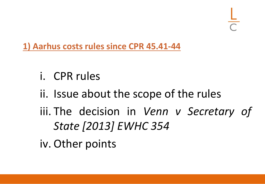**1) Aarhus costs rules since CPR 45.41-44**

- i. CPR rules
- ii. Issue about the scope of the rules
- iii. The decision in *Venn v Secretary of State [2013] EWHC 354*
- iv. Other points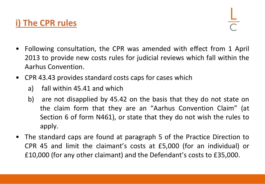#### **i) The CPR rules**

- Following consultation, the CPR was amended with effect from 1 April 2013 to provide new costs rules for judicial reviews which fall within the Aarhus Convention.
- CPR 43.43 provides standard costs caps for cases which
	- a) fall within 45.41 and which
	- b) are not disapplied by 45.42 on the basis that they do not state on the claim form that they are an "Aarhus Convention Claim" (at Section 6 of form N461), or state that they do not wish the rules to apply.
- The standard caps are found at paragraph 5 of the Practice Direction to CPR 45 and limit the claimant's costs at £5,000 (for an individual) or £10,000 (for any other claimant) and the Defendant's costs to £35,000.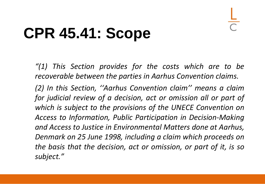## **CPR 45.41: Scope**

*"(1) This Section provides for the costs which are to be recoverable between the parties in Aarhus Convention claims.*

*(2) In this Section, ''Aarhus Convention claim'' means a claim for judicial review of a decision, act or omission all or part of which is subject to the provisions of the UNECE Convention on Access to Information, Public Participation in Decision-Making and Access to Justice in Environmental Matters done at Aarhus, Denmark on 25 June 1998, including a claim which proceeds on the basis that the decision, act or omission, or part of it, is so subject."*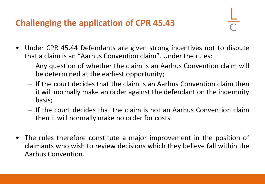#### **Challenging the application of CPR 45.43**

- Under CPR 45.44 Defendants are given strong incentives not to dispute that a claim is an "Aarhus Convention claim". Under the rules:
	- Any question of whether the claim is an Aarhus Convention claim will be determined at the earliest opportunity;
	- If the court decides that the claim is an Aarhus Convention claim then it will normally make an order against the defendant on the indemnity basis;
	- If the court decides that the claim is not an Aarhus Convention claim then it will normally make no order for costs.
- The rules therefore constitute a major improvement in the position of claimants who wish to review decisions which they believe fall within the Aarhus Convention.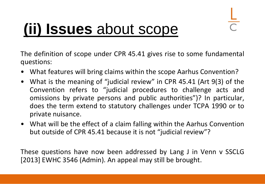## **(ii) Issues** about scope

The definition of scope under CPR 45.41 gives rise to some fundamental questions:

- What features will bring claims within the scope Aarhus Convention?
- What is the meaning of "judicial review" in CPR 45.41 (Art 9(3) of the Convention refers to "judicial procedures to challenge acts and omissions by private persons and public authorities")? In particular, does the term extend to statutory challenges under TCPA 1990 or to private nuisance.
- What will be the effect of a claim falling within the Aarhus Convention but outside of CPR 45.41 because it is not "judicial review"?

These questions have now been addressed by Lang J in Venn v SSCLG [2013] EWHC 3546 (Admin). An appeal may still be brought.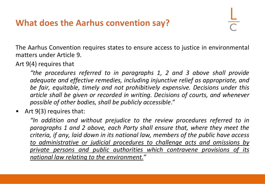#### **What does the Aarhus convention say?**

The Aarhus Convention requires states to ensure access to justice in environmental matters under Article 9.

Art 9(4) requires that

*"the procedures referred to in paragraphs 1, 2 and 3 above shall provide adequate and effective remedies, including injunctive relief as appropriate, and be fair, equitable, timely and not prohibitively expensive. Decisions under this article shall be given or recorded in writing. Decisions of courts, and whenever possible of other bodies, shall be publicly accessible*."

• Art 9(3) requires that:

*"In addition and without prejudice to the review procedures referred to in paragraphs 1 and 2 above, each Party shall ensure that, where they meet the criteria, if any, laid down in its national law, members of the public have access to administrative or judicial procedures to challenge acts and omissions by private persons and public authorities which contravene provisions of its national law relating to the environment."*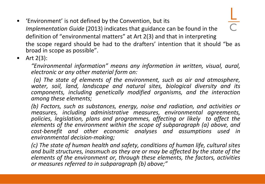• 'Environment' is not defined by the Convention, but its *Implementation Guide* (2013) indicates that guidance can be found in the definition of "environmental matters" at Art 2(3) and that in interpreting the scope regard should be had to the drafters' intention that it should "be as broad in scope as possible".

• Art  $2(3)$ :

*"Environmental information" means any information in written, visual, aural, electronic or any other material form on:*

*(a) The state of elements of the environment, such as air and atmosphere, water, soil, land, landscape and natural sites, biological diversity and its components, including genetically modified organisms, and the interaction among these elements;*

*(b) Factors, such as substances, energy, noise and radiation, and activities or measures, including administrative measures, environmental agreements, policies, legislation, plans and programmes, affecting or likely to affect the elements of the environment within the scope of subparagraph (a) above, and cost-benefit and other economic analyses and assumptions used in environmental decision-making;*

*(c) The state of human health and safety, conditions of human life, cultural sites and built structures, inasmuch as they are or may be affected by the state of the elements of the environment or, through these elements, the factors, activities or measures referred to in subparagraph (b) above;"*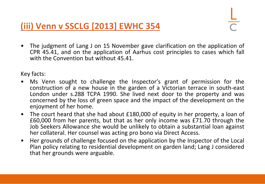**(iii) Venn v SSCLG [2013] EWHC 354**

• The judgment of Lang J on 15 November gave clarification on the application of CPR 45.41, and on the application of Aarhus cost principles to cases which fall with the Convention but without 45.41.

Key facts:

- Ms Venn sought to challenge the Inspector's grant of permission for the construction of a new house in the garden of a Victorian terrace in south-east London under s.288 TCPA 1990. She lived next door to the property and was concerned by the loss of green space and the impact of the development on the enjoyment of her home.
- The court heard that she had about £180,000 of equity in her property, a loan of £60,000 from her parents, but that as her only income was £71.70 through the Job Seekers Allowance she would be unlikely to obtain a substantial loan against her collateral. Her counsel was acting pro bono via Direct Access.
- Her grounds of challenge focused on the application by the Inspector of the Local Plan policy relating to residential development on garden land; Lang J considered that her grounds were arguable.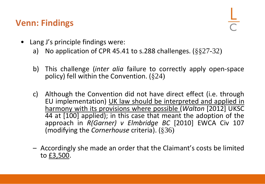#### **Venn: Findings**

- Lang J's principle findings were:
	- a) No application of CPR 45.41 to s.288 challenges.  $(\S$ §27-32)
	- b) This challenge (*inter alia* failure to correctly apply open-space policy) fell within the Convention. (§24)
	- c) Although the Convention did not have direct effect (i.e. through EU implementation) UK law should be interpreted and applied in harmony with its provisions where possible (*Walton* [2012] UKSC 44 at [100] applied); in this case that meant the adoption of the approach in *R(Garner) v Elmbridge BC* [2010] EWCA Civ 107 (modifying the *Cornerhouse* criteria). (§36)
	- Accordingly she made an order that the Claimant's costs be limited to £3,500.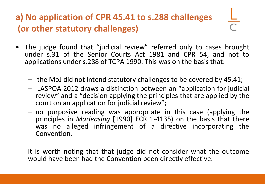### **a) No application of CPR 45.41 to s.288 challenges (or other statutory challenges)**

- The judge found that "judicial review" referred only to cases brought under s.31 of the Senior Courts Act 1981 and CPR 54, and not to applications under s.288 of TCPA 1990. This was on the basis that:
	- the MoJ did not intend statutory challenges to be covered by 45.41;
	- LASPOA 2012 draws a distinction between an "application for judicial review" and a "decision applying the principles that are applied by the court on an application for judicial review";
	- no purposive reading was appropriate in this case (applying the principles in *Marleasing* [1990] ECR 1-4135) on the basis that there was no alleged infringement of a directive incorporating the Convention.

It is worth noting that that judge did not consider what the outcome would have been had the Convention been directly effective.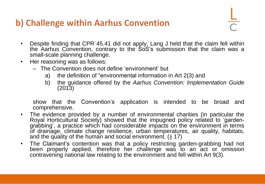#### **b) Challenge within Aarhus Convention**

- Despite finding that CPR 45.41 did not apply, Lang J held that the claim fell within the Aarhus Convention, contrary to the SoS's submission that the claim was a small-scale planning challenge.
- Her reasoning was as follows:
	- The Convention does not define 'environment' but
		- a) the definition of "environmental information in Art 2(3) and
		- b) the guidance offered by the *Aarhus Convention: Implementation Guide* (2013)

show that the Convention's application is intended to be broad and comprehensive.

- The evidence provided by a number of environmental charities (in particular the Royal Horticultural Society) showed that the impugned policy related to 'gardengrabbing', a practice which had considerable impacts on the environment in terms of drainage, climate change resilience, urban temperatures, air quality, habitats, and the quality of the human and social environment. (§ 17)
- The Claimant's contention was that a policy restricting garden-grabbing had not been properly applied, therefore her challenge was to an act or omission contravening national law relating to the environment and fell within Art 9(3).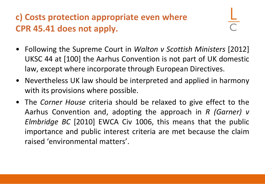#### **c) Costs protection appropriate even where CPR 45.41 does not apply.**

- Following the Supreme Court in *Walton v Scottish Ministers* [2012] UKSC 44 at [100] the Aarhus Convention is not part of UK domestic law, except where incorporate through European Directives.
- Nevertheless UK law should be interpreted and applied in harmony with its provisions where possible.
- The *Corner House* criteria should be relaxed to give effect to the Aarhus Convention and, adopting the approach in *R (Garner) v Elmbridge BC* [2010] EWCA Civ 1006, this means that the public importance and public interest criteria are met because the claim raised 'environmental matters'.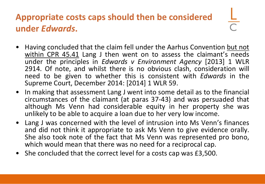### **Appropriate costs caps should then be considered under** *Edwards***.**

- Having concluded that the claim fell under the Aarhus Convention but not within CPR 45.41 Lang J then went on to assess the claimant's needs under the principles in *Edwards v Environment Agency* [2013] 1 WLR 2914. Of note, and whilst there is no obvious clash, consideration will need to be given to whether this is consistent with *Edwards* in the Supreme Court, December 2014: [2014] 1 WLR 59.
- In making that assessment Lang J went into some detail as to the financial circumstances of the claimant (at paras 37-43) and was persuaded that although Ms Venn had considerable equity in her property she was unlikely to be able to acquire a loan due to her very low income.
- Lang J was concerned with the level of intrusion into Ms Venn's finances and did not think it appropriate to ask Ms Venn to give evidence orally. She also took note of the fact that Ms Venn was represented pro bono, which would mean that there was no need for a reciprocal cap.
- She concluded that the correct level for a costs cap was £3,500.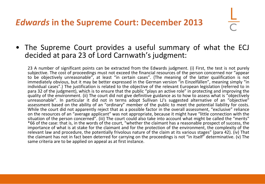#### *Edwards* **in the Supreme Court: December 2013**

#### • The Supreme Court provides a useful summary of what the ECJ decided at para 23 of Lord Carnwath's judgment:

23 A number of significant points can be extracted from the Edwards judgment. (i) First, the test is not purely subjective. The cost of proceedings must not exceed the financial resources of the person concerned nor "appear to be objectively unreasonable", at least "in certain cases". (The meaning of the latter qualification is not immediately obvious, but it may be better expressed in the German version "in Einzelfällen", meaning simply "in individual cases".) The justification is related to the objective of the relevant European legislation (referred to in para 32 of the judgment), which is to ensure that the public "plays an active role" in protecting and improving the quality of the environment. (ii) The court did not give definitive guidance as to how to assess what is "objectively unreasonable". In particular it did not in terms adopt Sullivan LJ's suggested alternative of an "objective" assessment based on the ability of an "ordinary" member of the public to meet the potential liability for costs. While the court did not apparently reject that as a possible factor in the overall assessment, "exclusive" reliance on the resources of an "average applicant" was not appropriate, because it might have "little connection with the situation of the person concerned". (iii) The court could also take into account what might be called the "merits" \*66 of the case: that is, in the words of the court, "whether the claimant has a reasonable prospect of success, the importance of what is at stake for the claimant and for the protection of the environment, the complexity of the relevant law and procedure, the potentially frivolous nature of the claim at its various stages" (para 42). (iv) That the claimant has not in fact been deterred for carrying on the proceedings is not "in itself" determinative. (v) The same criteria are to be applied on appeal as at first instance.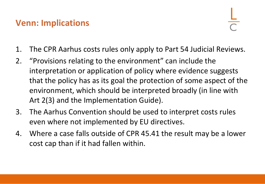#### **Venn: Implications**

- 1. The CPR Aarhus costs rules only apply to Part 54 Judicial Reviews.
- 2. "Provisions relating to the environment" can include the interpretation or application of policy where evidence suggests that the policy has as its goal the protection of some aspect of the environment, which should be interpreted broadly (in line with Art 2(3) and the Implementation Guide).
- 3. The Aarhus Convention should be used to interpret costs rules even where not implemented by EU directives.
- 4. Where a case falls outside of CPR 45.41 the result may be a lower cost cap than if it had fallen within.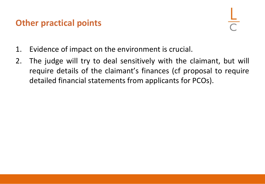#### **Other practical points**

- 1. Evidence of impact on the environment is crucial.
- 2. The judge will try to deal sensitively with the claimant, but will require details of the claimant's finances (cf proposal to require detailed financial statements from applicants for PCOs).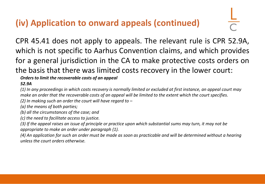#### **(iv) Application to onward appeals (continued)**

CPR 45.41 does not apply to appeals. The relevant rule is CPR 52.9A, which is not specific to Aarhus Convention claims, and which provides for a general jurisdiction in the CA to make protective costs orders on the basis that there was limited costs recovery in the lower court:

*Orders to limit the recoverable costs of an appeal*

*52.9A*

*(1) In any proceedings in which costs recovery is normally limited or excluded at first instance, an appeal court may make an order that the recoverable costs of an appeal will be limited to the extent which the court specifies.*

*(2) In making such an order the court will have regard to –*

*(a) the means of both parties;*

*(b) all the circumstances of the case; and*

*(c) the need to facilitate access to justice.*

*(3) If the appeal raises an issue of principle or practice upon which substantial sums may turn, it may not be appropriate to make an order under paragraph (1).*

*(4) An application for such an order must be made as soon as practicable and will be determined without a hearing unless the court orders otherwise.*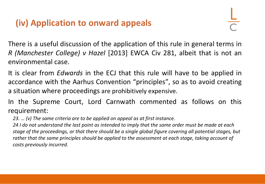#### **(iv) Application to onward appeals**

There is a useful discussion of the application of this rule in general terms in *R (Manchester College) v Hazel* [2013] EWCA Civ 281, albeit that is not an environmental case.

It is clear from *Edwards* in the ECJ that this rule will have to be applied in accordance with the Aarhus Convention "principles", so as to avoid creating a situation where proceedings are prohibitively expensive.

In the Supreme Court, Lord Carnwath commented as follows on this requirement:

*23. … (v) The same criteria are to be applied on appeal as at first instance.* 

*24 I do not understand the last point as intended to imply that the same order must be made at each stage of the proceedings, or that there should be a single global figure covering all potential stages, but rather that the same principles should be applied to the assessment at each stage, taking account of costs previously incurred.*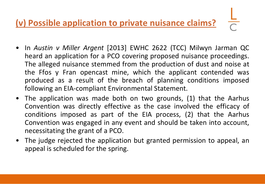#### **(v) Possible application to private nuisance claims?**

- In *Austin v Miller Argent* [2013] EWHC 2622 (TCC) Milwyn Jarman QC heard an application for a PCO covering proposed nuisance proceedings. The alleged nuisance stemmed from the production of dust and noise at the Ffos y Fran opencast mine, which the applicant contended was produced as a result of the breach of planning conditions imposed following an EIA-compliant Environmental Statement.
- The application was made both on two grounds, (1) that the Aarhus Convention was directly effective as the case involved the efficacy of conditions imposed as part of the EIA process, (2) that the Aarhus Convention was engaged in any event and should be taken into account, necessitating the grant of a PCO.
- The judge rejected the application but granted permission to appeal, an appeal is scheduled for the spring.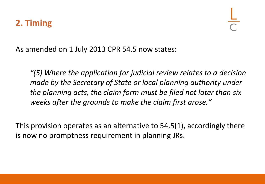As amended on 1 July 2013 CPR 54.5 now states:

*"(5) Where the application for judicial review relates to a decision made by the Secretary of State or local planning authority under the planning acts, the claim form must be filed not later than six weeks after the grounds to make the claim first arose."*

This provision operates as an alternative to 54.5(1), accordingly there is now no promptness requirement in planning JRs.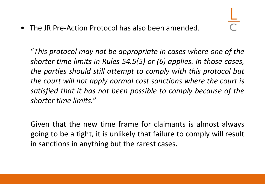• The JR Pre-Action Protocol has also been amended.

"*This protocol may not be appropriate in cases where one of the shorter time limits in Rules 54.5(5) or (6) applies. In those cases, the parties should still attempt to comply with this protocol but the court will not apply normal cost sanctions where the court is satisfied that it has not been possible to comply because of the shorter time limits.*"

Given that the new time frame for claimants is almost always going to be a tight, it is unlikely that failure to comply will result in sanctions in anything but the rarest cases.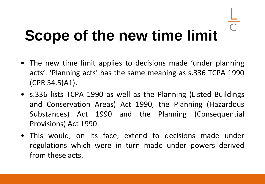# **Scope of the new time limit**

- The new time limit applies to decisions made 'under planning acts'. 'Planning acts' has the same meaning as s.336 TCPA 1990 (CPR 54.5(A1).
- s.336 lists TCPA 1990 as well as the Planning (Listed Buildings and Conservation Areas) Act 1990, the Planning (Hazardous Substances) Act 1990 and the Planning (Consequential Provisions) Act 1990.
- This would, on its face, extend to decisions made under regulations which were in turn made under powers derived from these acts.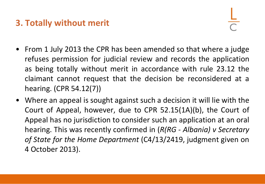#### **3. Totally without merit**

- From 1 July 2013 the CPR has been amended so that where a judge refuses permission for judicial review and records the application as being totally without merit in accordance with rule 23.12 the claimant cannot request that the decision be reconsidered at a hearing. (CPR 54.12(7))
- Where an appeal is sought against such a decision it will lie with the Court of Appeal, however, due to CPR 52.15(1A)(b), the Court of Appeal has no jurisdiction to consider such an application at an oral hearing. This was recently confirmed in (*R(RG - Albania) v Secretary of State for the Home Department* (C4/13/2419, judgment given on 4 October 2013).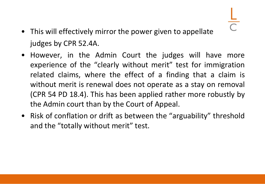- This will effectively mirror the power given to appellate judges by CPR 52.4A.
- However, in the Admin Court the judges will have more experience of the "clearly without merit" test for immigration related claims, where the effect of a finding that a claim is without merit is renewal does not operate as a stay on removal (CPR 54 PD 18.4). This has been applied rather more robustly by the Admin court than by the Court of Appeal.
- Risk of conflation or drift as between the "arguability" threshold and the "totally without merit" test.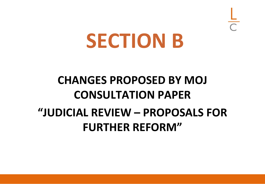## **SECTION B**

### **CHANGES PROPOSED BY MOJ CONSULTATION PAPER "JUDICIAL REVIEW – PROPOSALS FOR FURTHER REFORM"**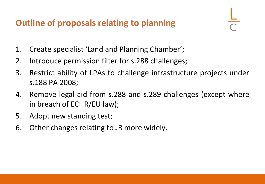#### **Outline of proposals relating to planning**

- 1. Create specialist 'Land and Planning Chamber';
- 2. Introduce permission filter for s.288 challenges;
- 3. Restrict ability of LPAs to challenge infrastructure projects under s.188 PA 2008;
- 4. Remove legal aid from s.288 and s.289 challenges (except where in breach of ECHR/EU law);
- 5. Adopt new standing test;
- 6. Other changes relating to JR more widely.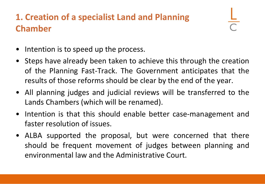#### **1. Creation of a specialist Land and Planning Chamber**

- Intention is to speed up the process.
- Steps have already been taken to achieve this through the creation of the Planning Fast-Track. The Government anticipates that the results of those reforms should be clear by the end of the year.
- All planning judges and judicial reviews will be transferred to the Lands Chambers (which will be renamed).
- Intention is that this should enable better case-management and faster resolution of issues.
- ALBA supported the proposal, but were concerned that there should be frequent movement of judges between planning and environmental law and the Administrative Court.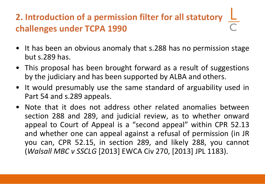### **2. Introduction of a permission filter for all statutory challenges under TCPA 1990**

- It has been an obvious anomaly that s.288 has no permission stage but s.289 has.
- This proposal has been brought forward as a result of suggestions by the judiciary and has been supported by ALBA and others.
- It would presumably use the same standard of arguability used in Part 54 and s.289 appeals.
- Note that it does not address other related anomalies between section 288 and 289, and judicial review, as to whether onward appeal to Court of Appeal is a "second appeal" within CPR 52.13 and whether one can appeal against a refusal of permission (in JR you can, CPR 52.15, in section 289, and likely 288, you cannot (*Walsall MBC v SSCLG* [2013] EWCA Civ 270, [2013] JPL 1183).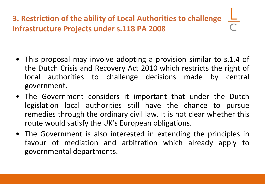#### **3. Restriction of the ability of Local Authorities to challenge Infrastructure Projects under s.118 PA 2008**

- This proposal may involve adopting a provision similar to s.1.4 of the Dutch Crisis and Recovery Act 2010 which restricts the right of local authorities to challenge decisions made by central government.
- The Government considers it important that under the Dutch legislation local authorities still have the chance to pursue remedies through the ordinary civil law. It is not clear whether this route would satisfy the UK's European obligations.
- The Government is also interested in extending the principles in favour of mediation and arbitration which already apply to governmental departments.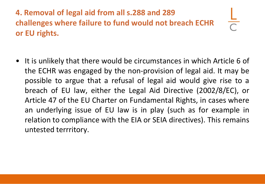**4. Removal of legal aid from all s.288 and 289 challenges where failure to fund would not breach ECHR or EU rights.**

• It is unlikely that there would be circumstances in which Article 6 of the ECHR was engaged by the non-provision of legal aid. It may be possible to argue that a refusal of legal aid would give rise to a breach of EU law, either the Legal Aid Directive (2002/8/EC), or Article 47 of the EU Charter on Fundamental Rights, in cases where an underlying issue of EU law is in play (such as for example in relation to compliance with the EIA or SEIA directives). This remains untested terrritory.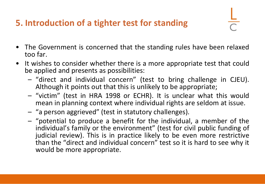#### **5. Introduction of a tighter test for standing**

- The Government is concerned that the standing rules have been relaxed too far.
- It wishes to consider whether there is a more appropriate test that could be applied and presents as possibilities:
	- "direct and individual concern" (test to bring challenge in CJEU). Although it points out that this is unlikely to be appropriate;
	- "victim" (test in HRA 1998 or ECHR). It is unclear what this would mean in planning context where individual rights are seldom at issue.
	- "a person aggrieved" (test in statutory challenges).
	- "potential to produce a benefit for the individual, a member of the individual's family or the environment" (test for civil public funding of judicial review). This is in practice likely to be even more restrictive than the "direct and individual concern" test so it is hard to see why it would be more appropriate.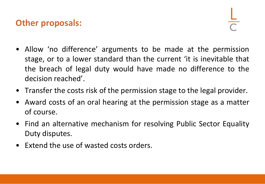#### **Other proposals:**

- Allow 'no difference' arguments to be made at the permission stage, or to a lower standard than the current 'it is inevitable that the breach of legal duty would have made no difference to the decision reached'.
- Transfer the costs risk of the permission stage to the legal provider.
- Award costs of an oral hearing at the permission stage as a matter of course.
- Find an alternative mechanism for resolving Public Sector Equality Duty disputes.
- Extend the use of wasted costs orders.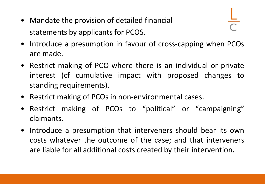• Mandate the provision of detailed financial statements by applicants for PCOS.

- 
- Introduce a presumption in favour of cross-capping when PCOs are made.
- Restrict making of PCO where there is an individual or private interest (cf cumulative impact with proposed changes to standing requirements).
- Restrict making of PCOs in non-environmental cases.
- Restrict making of PCOs to "political" or "campaigning" claimants.
- Introduce a presumption that interveners should bear its own costs whatever the outcome of the case; and that interveners are liable for all additional costs created by their intervention.